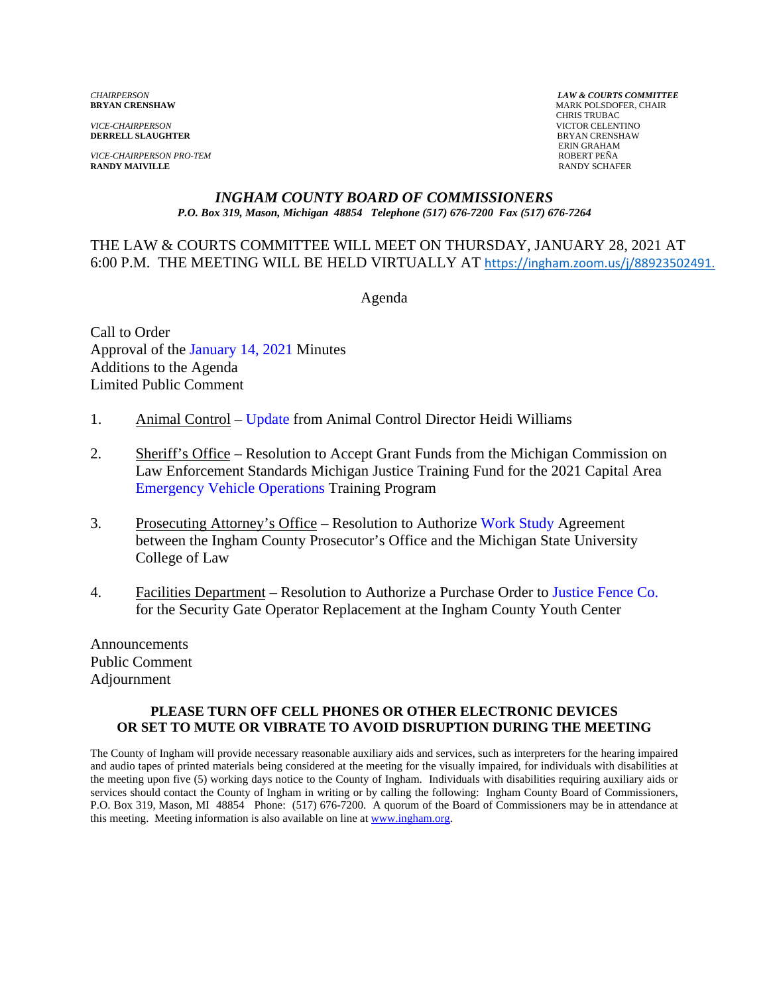*VICE-CHAIRPERSON* VICTOR CELENTINO **DERRELL SLAUGHTER** 

*VICE-CHAIRPERSON PRO-TEM* ROBERT PEÑA **RANDY MAIVILLE** 

*CHAIRPERSON LAW & COURTS COMMITTEE* **MARK POLSDOFER, CHAIR**  CHRIS TRUBAC ERIN GRAHAM

#### *INGHAM COUNTY BOARD OF COMMISSIONERS P.O. Box 319, Mason, Michigan 48854 Telephone (517) 676-7200 Fax (517) 676-7264*

### THE LAW & COURTS COMMITTEE WILL MEET ON THURSDAY, JANUARY 28, 2021 AT 6:00 P.M. THE MEETING WILL BE HELD VIRTUALLY AT [https://ingham.zoom.us/j/88923502491.](https://ingham.zoom.us/j/88923502491#success)

Agenda

Call to Order Approval [of the January 14, 2021 Minutes](#page-1-0)  Additions to the Agenda Limited Public Comment

- 1. Animal Control [Update from Anim](#page-5-0)al Control Director Heidi Williams
- 2. Sheriff's Office Resolution to Accept Grant Funds from the Michigan Commission on Law Enforcement Standards Michigan Justice Training Fund for the 2021 Capital Area [Emergency Vehicle Operations Training](#page-8-0) Program
- 3. Prosecuting Attorney's Office Resolution to Authorize Work Study Agreement between the Ingham County Prosecutor's Office and t[he Michigan State Univer](#page-10-0)sity College of Law
- 4. Facilities Department Resolution to Authorize a Purchase Ord[er to Justice Fence Co.](#page-12-0) for the Security Gate Operator Replacement at the Ingham County Youth Center

Announcements Public Comment Adjournment

#### **PLEASE TURN OFF CELL PHONES OR OTHER ELECTRONIC DEVICES OR SET TO MUTE OR VIBRATE TO AVOID DISRUPTION DURING THE MEETING**

The County of Ingham will provide necessary reasonable auxiliary aids and services, such as interpreters for the hearing impaired and audio tapes of printed materials being considered at the meeting for the visually impaired, for individuals with disabilities at the meeting upon five (5) working days notice to the County of Ingham. Individuals with disabilities requiring auxiliary aids or services should contact the County of Ingham in writing or by calling the following: Ingham County Board of Commissioners, P.O. Box 319, Mason, MI 48854 Phone: (517) 676-7200. A quorum of the Board of Commissioners may be in attendance at this meeting. Meeting information is also available on line at www.ingham.org.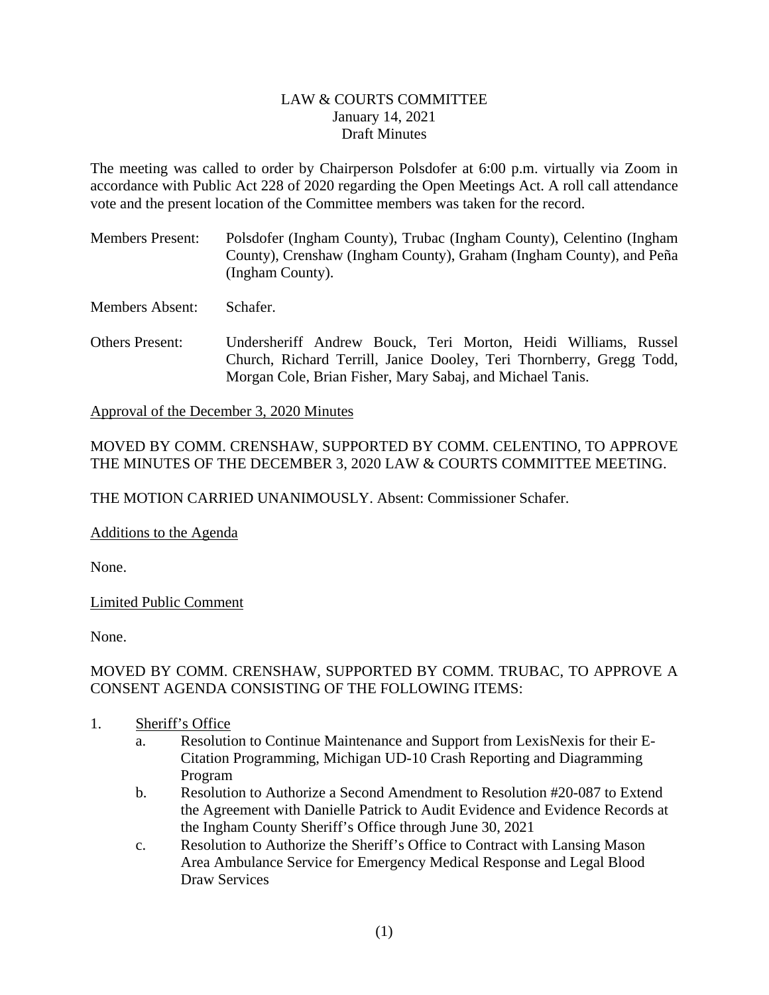### LAW & COURTS COMMITTEE January 14, 2021 Draft Minutes

<span id="page-1-0"></span>The meeting was called to order by Chairperson Polsdofer at 6:00 p.m. virtually via Zoom in accordance with Public Act 228 of 2020 regarding the Open Meetings Act. A roll call attendance vote and the present location of the Committee members was taken for the record.

Members Present: Polsdofer (Ingham County), Trubac (Ingham County), Celentino (Ingham County), Crenshaw (Ingham County), Graham (Ingham County), and Peña (Ingham County).

Members Absent: Schafer.

Others Present: Undersheriff Andrew Bouck, Teri Morton, Heidi Williams, Russel Church, Richard Terrill, Janice Dooley, Teri Thornberry, Gregg Todd, Morgan Cole, Brian Fisher, Mary Sabaj, and Michael Tanis.

Approval of the December 3, 2020 Minutes

# MOVED BY COMM. CRENSHAW, SUPPORTED BY COMM. CELENTINO, TO APPROVE THE MINUTES OF THE DECEMBER 3, 2020 LAW & COURTS COMMITTEE MEETING.

THE MOTION CARRIED UNANIMOUSLY. Absent: Commissioner Schafer.

Additions to the Agenda

None.

Limited Public Comment

None.

# MOVED BY COMM. CRENSHAW, SUPPORTED BY COMM. TRUBAC, TO APPROVE A CONSENT AGENDA CONSISTING OF THE FOLLOWING ITEMS:

- 1. Sheriff's Office
	- a. Resolution to Continue Maintenance and Support from LexisNexis for their E-Citation Programming, Michigan UD-10 Crash Reporting and Diagramming Program
	- b. Resolution to Authorize a Second Amendment to Resolution #20-087 to Extend the Agreement with Danielle Patrick to Audit Evidence and Evidence Records at the Ingham County Sheriff's Office through June 30, 2021
	- c. Resolution to Authorize the Sheriff's Office to Contract with Lansing Mason Area Ambulance Service for Emergency Medical Response and Legal Blood Draw Services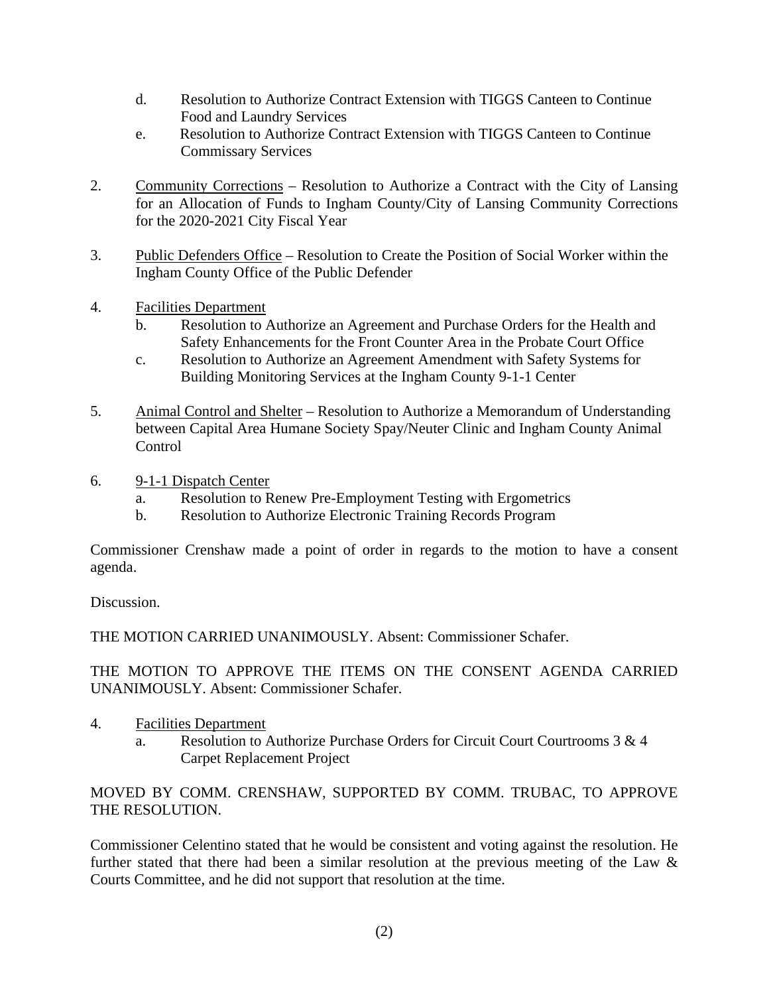- d. Resolution to Authorize Contract Extension with TIGGS Canteen to Continue Food and Laundry Services
- e. Resolution to Authorize Contract Extension with TIGGS Canteen to Continue Commissary Services
- 2. Community Corrections Resolution to Authorize a Contract with the City of Lansing for an Allocation of Funds to Ingham County/City of Lansing Community Corrections for the 2020-2021 City Fiscal Year
- 3. Public Defenders Office Resolution to Create the Position of Social Worker within the Ingham County Office of the Public Defender
- 4. Facilities Department
	- b. Resolution to Authorize an Agreement and Purchase Orders for the Health and Safety Enhancements for the Front Counter Area in the Probate Court Office
	- c. Resolution to Authorize an Agreement Amendment with Safety Systems for Building Monitoring Services at the Ingham County 9-1-1 Center
- 5. Animal Control and Shelter Resolution to Authorize a Memorandum of Understanding between Capital Area Humane Society Spay/Neuter Clinic and Ingham County Animal Control
- 6. 9-1-1 Dispatch Center
	- a. Resolution to Renew Pre-Employment Testing with Ergometrics
	- b. Resolution to Authorize Electronic Training Records Program

Commissioner Crenshaw made a point of order in regards to the motion to have a consent agenda.

Discussion.

THE MOTION CARRIED UNANIMOUSLY. Absent: Commissioner Schafer.

THE MOTION TO APPROVE THE ITEMS ON THE CONSENT AGENDA CARRIED UNANIMOUSLY. Absent: Commissioner Schafer.

- 4. Facilities Department
	- a. Resolution to Authorize Purchase Orders for Circuit Court Courtrooms 3 & 4 Carpet Replacement Project

MOVED BY COMM. CRENSHAW, SUPPORTED BY COMM. TRUBAC, TO APPROVE THE RESOLUTION.

Commissioner Celentino stated that he would be consistent and voting against the resolution. He further stated that there had been a similar resolution at the previous meeting of the Law & Courts Committee, and he did not support that resolution at the time.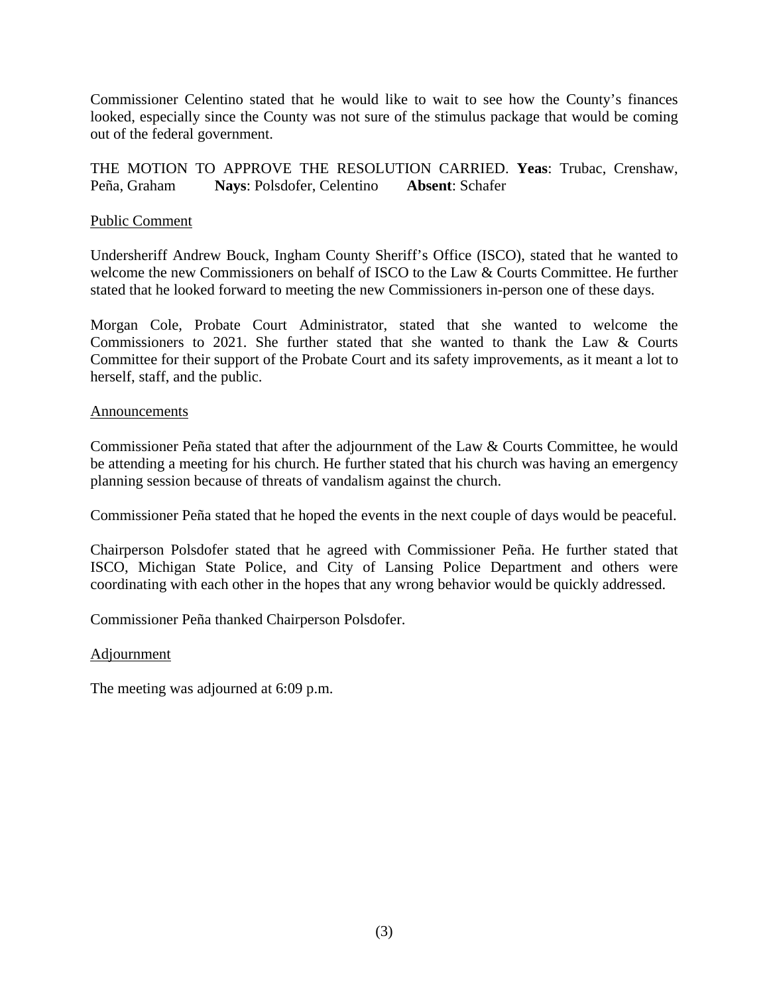Commissioner Celentino stated that he would like to wait to see how the County's finances looked, especially since the County was not sure of the stimulus package that would be coming out of the federal government.

THE MOTION TO APPROVE THE RESOLUTION CARRIED. **Yeas**: Trubac, Crenshaw, Peña, Graham **Nays**: Polsdofer, Celentino **Absent**: Schafer

### Public Comment

Undersheriff Andrew Bouck, Ingham County Sheriff's Office (ISCO), stated that he wanted to welcome the new Commissioners on behalf of ISCO to the Law & Courts Committee. He further stated that he looked forward to meeting the new Commissioners in-person one of these days.

Morgan Cole, Probate Court Administrator, stated that she wanted to welcome the Commissioners to 2021. She further stated that she wanted to thank the Law & Courts Committee for their support of the Probate Court and its safety improvements, as it meant a lot to herself, staff, and the public.

#### **Announcements**

Commissioner Peña stated that after the adjournment of the Law & Courts Committee, he would be attending a meeting for his church. He further stated that his church was having an emergency planning session because of threats of vandalism against the church.

Commissioner Peña stated that he hoped the events in the next couple of days would be peaceful.

Chairperson Polsdofer stated that he agreed with Commissioner Peña. He further stated that ISCO, Michigan State Police, and City of Lansing Police Department and others were coordinating with each other in the hopes that any wrong behavior would be quickly addressed.

Commissioner Peña thanked Chairperson Polsdofer.

#### Adjournment

The meeting was adjourned at 6:09 p.m.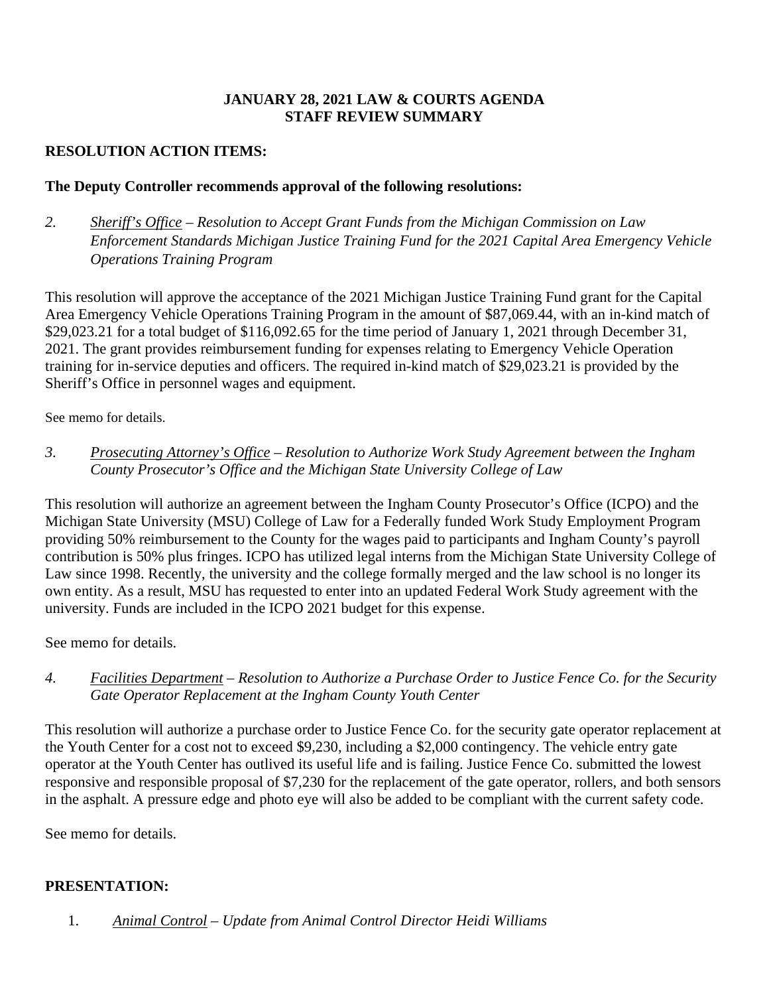# **JANUARY 28, 2021 LAW & COURTS AGENDA STAFF REVIEW SUMMARY**

# **RESOLUTION ACTION ITEMS:**

# **The Deputy Controller recommends approval of the following resolutions:**

*2. Sheriff's Office – Resolution to Accept Grant Funds from the Michigan Commission on Law Enforcement Standards Michigan Justice Training Fund for the 2021 Capital Area Emergency Vehicle Operations Training Program* 

This resolution will approve the acceptance of the 2021 Michigan Justice Training Fund grant for the Capital Area Emergency Vehicle Operations Training Program in the amount of \$87,069.44, with an in-kind match of \$29,023.21 for a total budget of \$116,092.65 for the time period of January 1, 2021 through December 31, 2021. The grant provides reimbursement funding for expenses relating to Emergency Vehicle Operation training for in-service deputies and officers. The required in-kind match of \$29,023.21 is provided by the Sheriff's Office in personnel wages and equipment.

See memo for details.

*3. Prosecuting Attorney's Office – Resolution to Authorize Work Study Agreement between the Ingham County Prosecutor's Office and the Michigan State University College of Law*

This resolution will authorize an agreement between the Ingham County Prosecutor's Office (ICPO) and the Michigan State University (MSU) College of Law for a Federally funded Work Study Employment Program providing 50% reimbursement to the County for the wages paid to participants and Ingham County's payroll contribution is 50% plus fringes. ICPO has utilized legal interns from the Michigan State University College of Law since 1998. Recently, the university and the college formally merged and the law school is no longer its own entity. As a result, MSU has requested to enter into an updated Federal Work Study agreement with the university. Funds are included in the ICPO 2021 budget for this expense.

See memo for details.

*4. Facilities Department – Resolution to Authorize a Purchase Order to Justice Fence Co. for the Security Gate Operator Replacement at the Ingham County Youth Center* 

This resolution will authorize a purchase order to Justice Fence Co. for the security gate operator replacement at the Youth Center for a cost not to exceed \$9,230, including a \$2,000 contingency. The vehicle entry gate operator at the Youth Center has outlived its useful life and is failing. Justice Fence Co. submitted the lowest responsive and responsible proposal of \$7,230 for the replacement of the gate operator, rollers, and both sensors in the asphalt. A pressure edge and photo eye will also be added to be compliant with the current safety code.

See memo for details.

# **PRESENTATION:**

1. *Animal Control – Update from Animal Control Director Heidi Williams*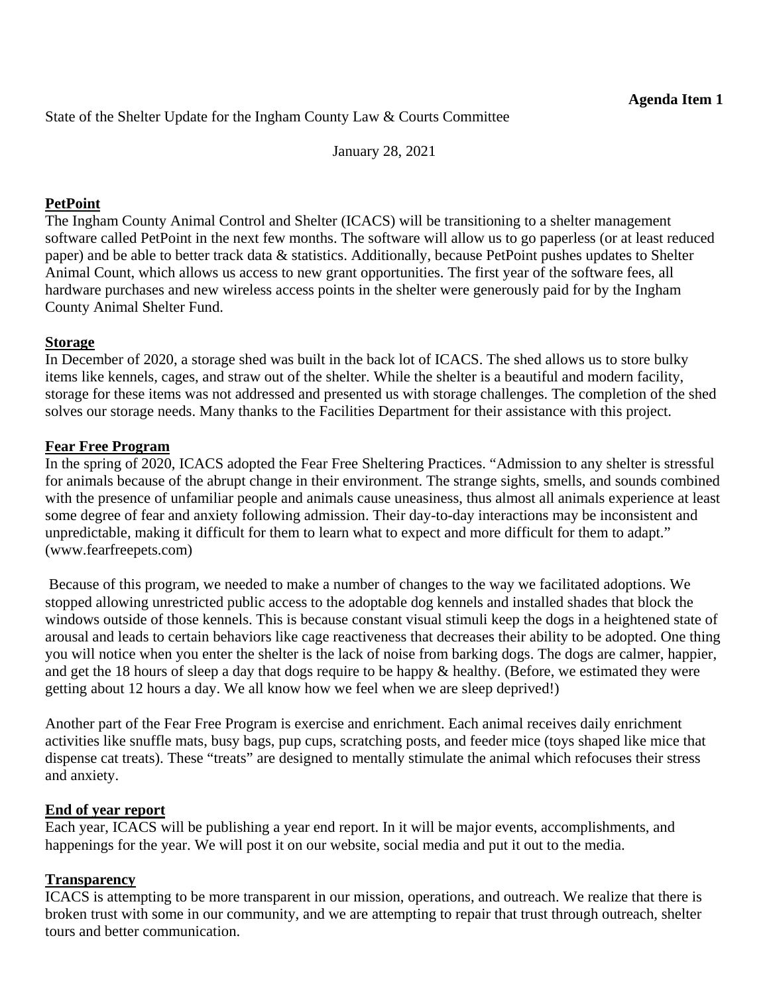<span id="page-5-0"></span>State of the Shelter Update for the Ingham County Law & Courts Committee

January 28, 2021

# **PetPoint**

The Ingham County Animal Control and Shelter (ICACS) will be transitioning to a shelter management software called PetPoint in the next few months. The software will allow us to go paperless (or at least reduced paper) and be able to better track data & statistics. Additionally, because PetPoint pushes updates to Shelter Animal Count, which allows us access to new grant opportunities. The first year of the software fees, all hardware purchases and new wireless access points in the shelter were generously paid for by the Ingham County Animal Shelter Fund.

# **Storage**

In December of 2020, a storage shed was built in the back lot of ICACS. The shed allows us to store bulky items like kennels, cages, and straw out of the shelter. While the shelter is a beautiful and modern facility, storage for these items was not addressed and presented us with storage challenges. The completion of the shed solves our storage needs. Many thanks to the Facilities Department for their assistance with this project.

# **Fear Free Program**

In the spring of 2020, ICACS adopted the Fear Free Sheltering Practices. "Admission to any shelter is stressful for animals because of the abrupt change in their environment. The strange sights, smells, and sounds combined with the presence of unfamiliar people and animals cause uneasiness, thus almost all animals experience at least some degree of fear and anxiety following admission. Their day-to-day interactions may be inconsistent and unpredictable, making it difficult for them to learn what to expect and more difficult for them to adapt." (www.fearfreepets.com)

 Because of this program, we needed to make a number of changes to the way we facilitated adoptions. We stopped allowing unrestricted public access to the adoptable dog kennels and installed shades that block the windows outside of those kennels. This is because constant visual stimuli keep the dogs in a heightened state of arousal and leads to certain behaviors like cage reactiveness that decreases their ability to be adopted. One thing you will notice when you enter the shelter is the lack of noise from barking dogs. The dogs are calmer, happier, and get the 18 hours of sleep a day that dogs require to be happy & healthy. (Before, we estimated they were getting about 12 hours a day. We all know how we feel when we are sleep deprived!)

Another part of the Fear Free Program is exercise and enrichment. Each animal receives daily enrichment activities like snuffle mats, busy bags, pup cups, scratching posts, and feeder mice (toys shaped like mice that dispense cat treats). These "treats" are designed to mentally stimulate the animal which refocuses their stress and anxiety.

### **End of year report**

Each year, ICACS will be publishing a year end report. In it will be major events, accomplishments, and happenings for the year. We will post it on our website, social media and put it out to the media.

# **Transparency**

ICACS is attempting to be more transparent in our mission, operations, and outreach. We realize that there is broken trust with some in our community, and we are attempting to repair that trust through outreach, shelter tours and better communication.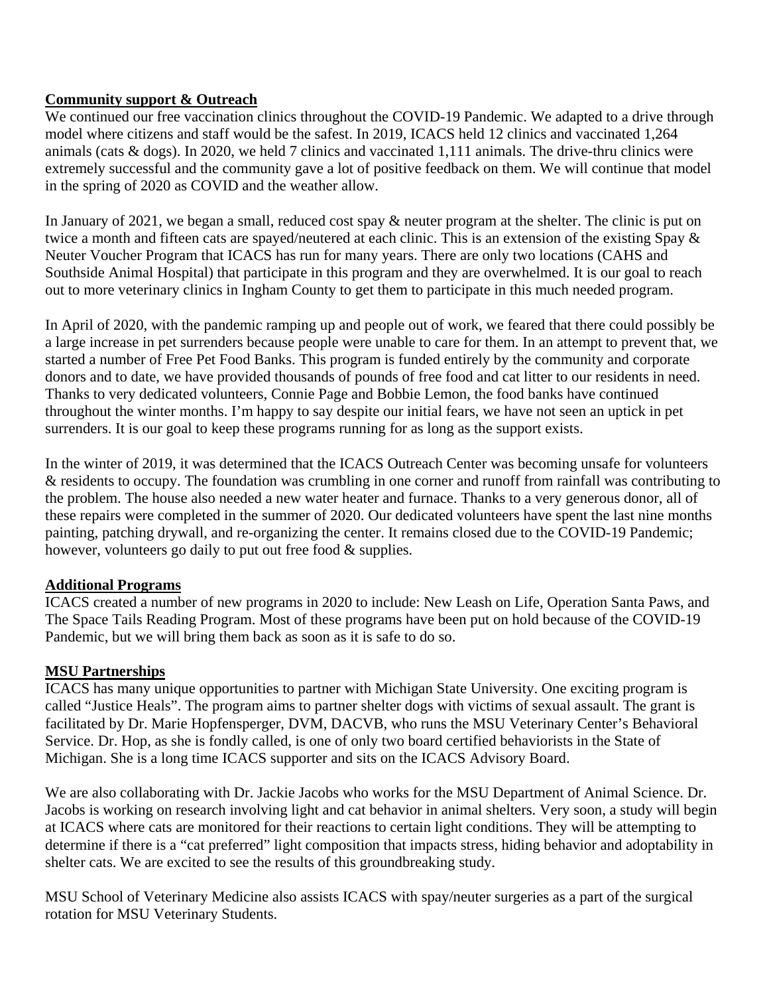# **Community support & Outreach**

We continued our free vaccination clinics throughout the COVID-19 Pandemic. We adapted to a drive through model where citizens and staff would be the safest. In 2019, ICACS held 12 clinics and vaccinated 1,264 animals (cats & dogs). In 2020, we held 7 clinics and vaccinated 1,111 animals. The drive-thru clinics were extremely successful and the community gave a lot of positive feedback on them. We will continue that model in the spring of 2020 as COVID and the weather allow.

In January of 2021, we began a small, reduced cost spay & neuter program at the shelter. The clinic is put on twice a month and fifteen cats are spayed/neutered at each clinic. This is an extension of the existing Spay & Neuter Voucher Program that ICACS has run for many years. There are only two locations (CAHS and Southside Animal Hospital) that participate in this program and they are overwhelmed. It is our goal to reach out to more veterinary clinics in Ingham County to get them to participate in this much needed program.

In April of 2020, with the pandemic ramping up and people out of work, we feared that there could possibly be a large increase in pet surrenders because people were unable to care for them. In an attempt to prevent that, we started a number of Free Pet Food Banks. This program is funded entirely by the community and corporate donors and to date, we have provided thousands of pounds of free food and cat litter to our residents in need. Thanks to very dedicated volunteers, Connie Page and Bobbie Lemon, the food banks have continued throughout the winter months. I'm happy to say despite our initial fears, we have not seen an uptick in pet surrenders. It is our goal to keep these programs running for as long as the support exists.

In the winter of 2019, it was determined that the ICACS Outreach Center was becoming unsafe for volunteers & residents to occupy. The foundation was crumbling in one corner and runoff from rainfall was contributing to the problem. The house also needed a new water heater and furnace. Thanks to a very generous donor, all of these repairs were completed in the summer of 2020. Our dedicated volunteers have spent the last nine months painting, patching drywall, and re-organizing the center. It remains closed due to the COVID-19 Pandemic; however, volunteers go daily to put out free food  $\&$  supplies.

# **Additional Programs**

ICACS created a number of new programs in 2020 to include: New Leash on Life, Operation Santa Paws, and The Space Tails Reading Program. Most of these programs have been put on hold because of the COVID-19 Pandemic, but we will bring them back as soon as it is safe to do so.

# **MSU Partnerships**

ICACS has many unique opportunities to partner with Michigan State University. One exciting program is called "Justice Heals". The program aims to partner shelter dogs with victims of sexual assault. The grant is facilitated by Dr. Marie Hopfensperger, DVM, DACVB, who runs the MSU Veterinary Center's Behavioral Service. Dr. Hop, as she is fondly called, is one of only two board certified behaviorists in the State of Michigan. She is a long time ICACS supporter and sits on the ICACS Advisory Board.

We are also collaborating with Dr. Jackie Jacobs who works for the MSU Department of Animal Science. Dr. Jacobs is working on research involving light and cat behavior in animal shelters. Very soon, a study will begin at ICACS where cats are monitored for their reactions to certain light conditions. They will be attempting to determine if there is a "cat preferred" light composition that impacts stress, hiding behavior and adoptability in shelter cats. We are excited to see the results of this groundbreaking study.

MSU School of Veterinary Medicine also assists ICACS with spay/neuter surgeries as a part of the surgical rotation for MSU Veterinary Students.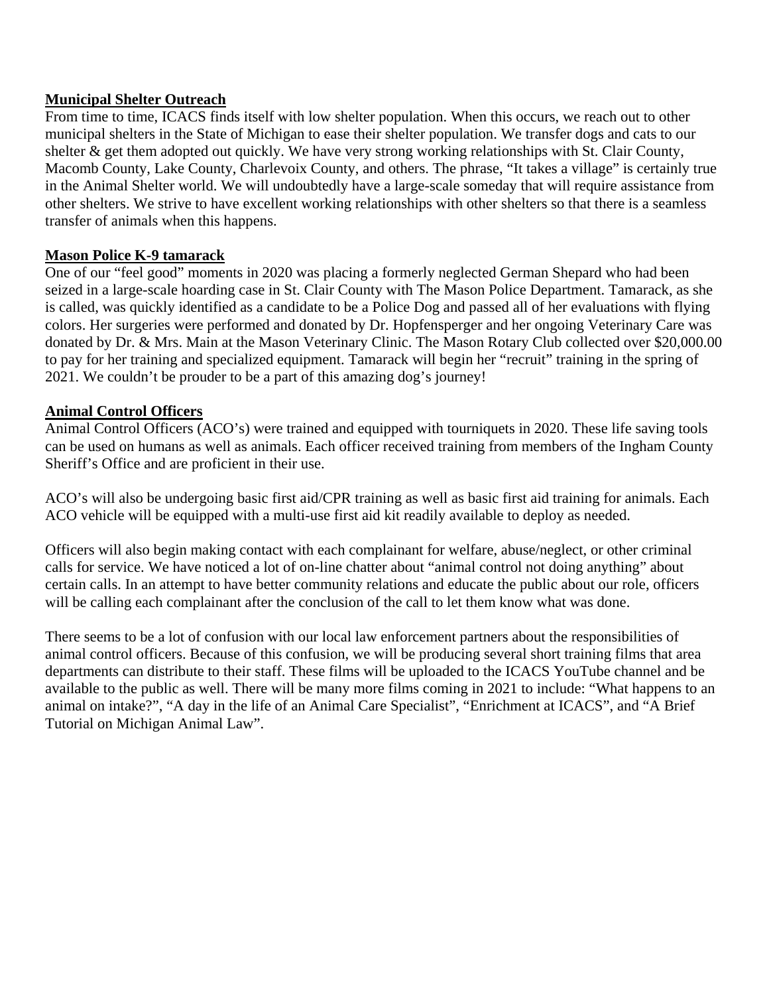### **Municipal Shelter Outreach**

From time to time, ICACS finds itself with low shelter population. When this occurs, we reach out to other municipal shelters in the State of Michigan to ease their shelter population. We transfer dogs and cats to our shelter & get them adopted out quickly. We have very strong working relationships with St. Clair County, Macomb County, Lake County, Charlevoix County, and others. The phrase, "It takes a village" is certainly true in the Animal Shelter world. We will undoubtedly have a large-scale someday that will require assistance from other shelters. We strive to have excellent working relationships with other shelters so that there is a seamless transfer of animals when this happens.

### **Mason Police K-9 tamarack**

One of our "feel good" moments in 2020 was placing a formerly neglected German Shepard who had been seized in a large-scale hoarding case in St. Clair County with The Mason Police Department. Tamarack, as she is called, was quickly identified as a candidate to be a Police Dog and passed all of her evaluations with flying colors. Her surgeries were performed and donated by Dr. Hopfensperger and her ongoing Veterinary Care was donated by Dr. & Mrs. Main at the Mason Veterinary Clinic. The Mason Rotary Club collected over \$20,000.00 to pay for her training and specialized equipment. Tamarack will begin her "recruit" training in the spring of 2021. We couldn't be prouder to be a part of this amazing dog's journey!

### **Animal Control Officers**

Animal Control Officers (ACO's) were trained and equipped with tourniquets in 2020. These life saving tools can be used on humans as well as animals. Each officer received training from members of the Ingham County Sheriff's Office and are proficient in their use.

ACO's will also be undergoing basic first aid/CPR training as well as basic first aid training for animals. Each ACO vehicle will be equipped with a multi-use first aid kit readily available to deploy as needed.

Officers will also begin making contact with each complainant for welfare, abuse/neglect, or other criminal calls for service. We have noticed a lot of on-line chatter about "animal control not doing anything" about certain calls. In an attempt to have better community relations and educate the public about our role, officers will be calling each complainant after the conclusion of the call to let them know what was done.

There seems to be a lot of confusion with our local law enforcement partners about the responsibilities of animal control officers. Because of this confusion, we will be producing several short training films that area departments can distribute to their staff. These films will be uploaded to the ICACS YouTube channel and be available to the public as well. There will be many more films coming in 2021 to include: "What happens to an animal on intake?", "A day in the life of an Animal Care Specialist", "Enrichment at ICACS", and "A Brief Tutorial on Michigan Animal Law".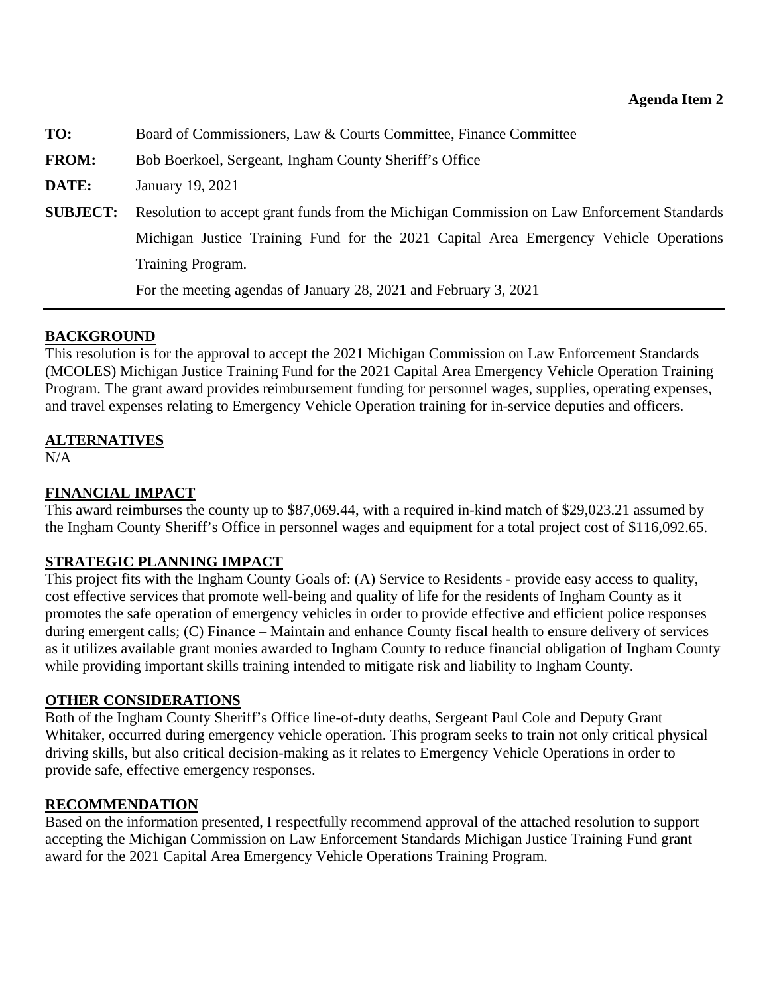<span id="page-8-0"></span>**TO:** Board of Commissioners, Law & Courts Committee, Finance Committee **FROM:** Bob Boerkoel, Sergeant, Ingham County Sheriff's Office **DATE:** January 19, 2021 **SUBJECT:** Resolution to accept grant funds from the Michigan Commission on Law Enforcement Standards Michigan Justice Training Fund for the 2021 Capital Area Emergency Vehicle Operations Training Program. For the meeting agendas of January 28, 2021 and February 3, 2021

# **BACKGROUND**

This resolution is for the approval to accept the 2021 Michigan Commission on Law Enforcement Standards (MCOLES) Michigan Justice Training Fund for the 2021 Capital Area Emergency Vehicle Operation Training Program. The grant award provides reimbursement funding for personnel wages, supplies, operating expenses, and travel expenses relating to Emergency Vehicle Operation training for in-service deputies and officers.

# **ALTERNATIVES**

N/A

# **FINANCIAL IMPACT**

This award reimburses the county up to \$87,069.44, with a required in-kind match of \$29,023.21 assumed by the Ingham County Sheriff's Office in personnel wages and equipment for a total project cost of \$116,092.65.

# **STRATEGIC PLANNING IMPACT**

This project fits with the Ingham County Goals of: (A) Service to Residents - provide easy access to quality, cost effective services that promote well-being and quality of life for the residents of Ingham County as it promotes the safe operation of emergency vehicles in order to provide effective and efficient police responses during emergent calls; (C) Finance – Maintain and enhance County fiscal health to ensure delivery of services as it utilizes available grant monies awarded to Ingham County to reduce financial obligation of Ingham County while providing important skills training intended to mitigate risk and liability to Ingham County.

# **OTHER CONSIDERATIONS**

Both of the Ingham County Sheriff's Office line-of-duty deaths, Sergeant Paul Cole and Deputy Grant Whitaker, occurred during emergency vehicle operation. This program seeks to train not only critical physical driving skills, but also critical decision-making as it relates to Emergency Vehicle Operations in order to provide safe, effective emergency responses.

# **RECOMMENDATION**

Based on the information presented, I respectfully recommend approval of the attached resolution to support accepting the Michigan Commission on Law Enforcement Standards Michigan Justice Training Fund grant award for the 2021 Capital Area Emergency Vehicle Operations Training Program.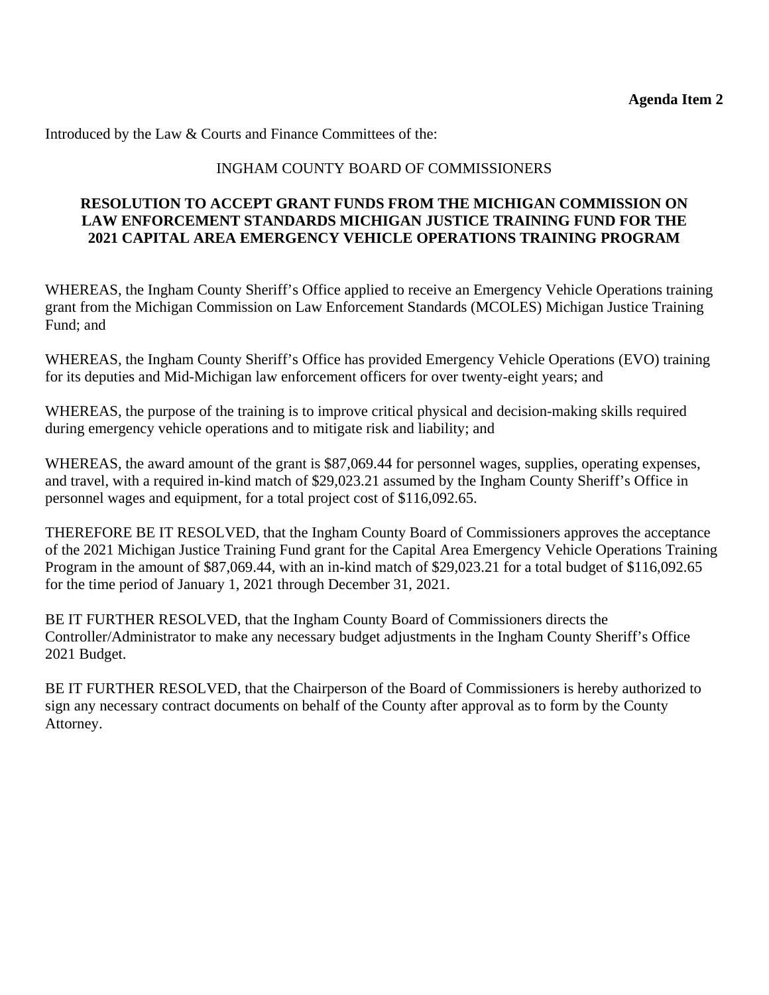Introduced by the Law & Courts and Finance Committees of the:

# INGHAM COUNTY BOARD OF COMMISSIONERS

# **RESOLUTION TO ACCEPT GRANT FUNDS FROM THE MICHIGAN COMMISSION ON LAW ENFORCEMENT STANDARDS MICHIGAN JUSTICE TRAINING FUND FOR THE 2021 CAPITAL AREA EMERGENCY VEHICLE OPERATIONS TRAINING PROGRAM**

WHEREAS, the Ingham County Sheriff's Office applied to receive an Emergency Vehicle Operations training grant from the Michigan Commission on Law Enforcement Standards (MCOLES) Michigan Justice Training Fund; and

WHEREAS, the Ingham County Sheriff's Office has provided Emergency Vehicle Operations (EVO) training for its deputies and Mid-Michigan law enforcement officers for over twenty-eight years; and

WHEREAS, the purpose of the training is to improve critical physical and decision-making skills required during emergency vehicle operations and to mitigate risk and liability; and

WHEREAS, the award amount of the grant is \$87,069.44 for personnel wages, supplies, operating expenses, and travel, with a required in-kind match of \$29,023.21 assumed by the Ingham County Sheriff's Office in personnel wages and equipment, for a total project cost of \$116,092.65.

THEREFORE BE IT RESOLVED, that the Ingham County Board of Commissioners approves the acceptance of the 2021 Michigan Justice Training Fund grant for the Capital Area Emergency Vehicle Operations Training Program in the amount of \$87,069.44, with an in-kind match of \$29,023.21 for a total budget of \$116,092.65 for the time period of January 1, 2021 through December 31, 2021.

BE IT FURTHER RESOLVED, that the Ingham County Board of Commissioners directs the Controller/Administrator to make any necessary budget adjustments in the Ingham County Sheriff's Office 2021 Budget.

BE IT FURTHER RESOLVED, that the Chairperson of the Board of Commissioners is hereby authorized to sign any necessary contract documents on behalf of the County after approval as to form by the County Attorney.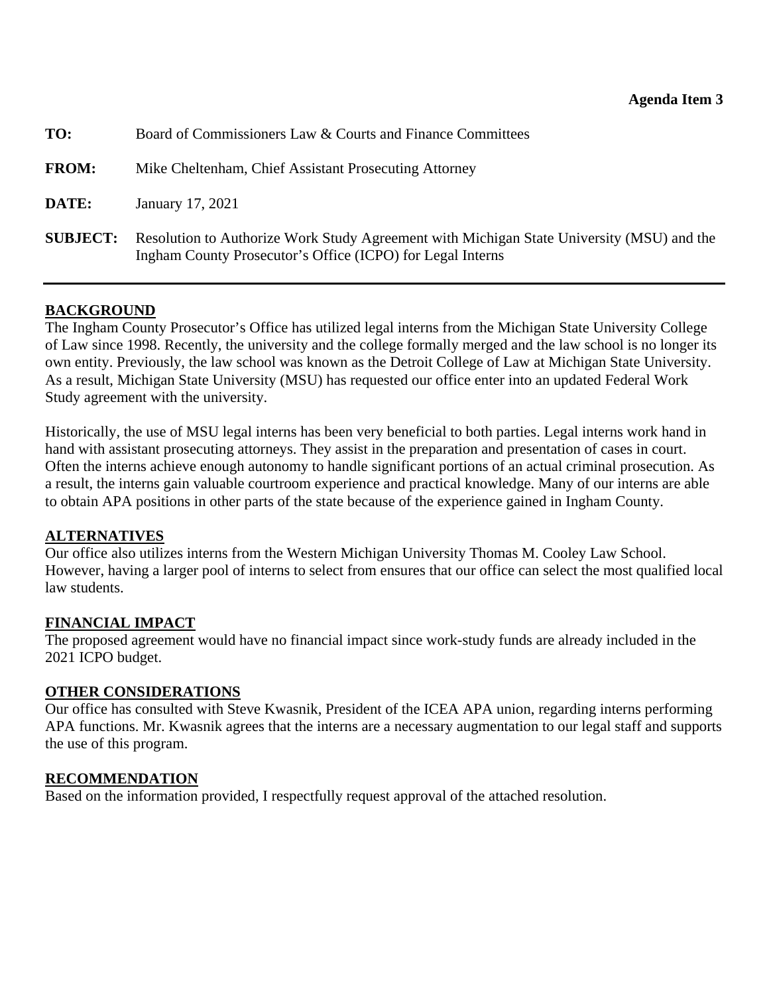<span id="page-10-0"></span>

| TO:             | Board of Commissioners Law & Courts and Finance Committees                                                                                              |  |
|-----------------|---------------------------------------------------------------------------------------------------------------------------------------------------------|--|
| <b>FROM:</b>    | Mike Cheltenham, Chief Assistant Prosecuting Attorney                                                                                                   |  |
| DATE:           | January 17, 2021                                                                                                                                        |  |
| <b>SUBJECT:</b> | Resolution to Authorize Work Study Agreement with Michigan State University (MSU) and the<br>Ingham County Prosecutor's Office (ICPO) for Legal Interns |  |

# **BACKGROUND**

The Ingham County Prosecutor's Office has utilized legal interns from the Michigan State University College of Law since 1998. Recently, the university and the college formally merged and the law school is no longer its own entity. Previously, the law school was known as the Detroit College of Law at Michigan State University. As a result, Michigan State University (MSU) has requested our office enter into an updated Federal Work Study agreement with the university.

Historically, the use of MSU legal interns has been very beneficial to both parties. Legal interns work hand in hand with assistant prosecuting attorneys. They assist in the preparation and presentation of cases in court. Often the interns achieve enough autonomy to handle significant portions of an actual criminal prosecution. As a result, the interns gain valuable courtroom experience and practical knowledge. Many of our interns are able to obtain APA positions in other parts of the state because of the experience gained in Ingham County.

# **ALTERNATIVES**

Our office also utilizes interns from the Western Michigan University Thomas M. Cooley Law School. However, having a larger pool of interns to select from ensures that our office can select the most qualified local law students.

# **FINANCIAL IMPACT**

The proposed agreement would have no financial impact since work-study funds are already included in the 2021 ICPO budget.

### **OTHER CONSIDERATIONS**

Our office has consulted with Steve Kwasnik, President of the ICEA APA union, regarding interns performing APA functions. Mr. Kwasnik agrees that the interns are a necessary augmentation to our legal staff and supports the use of this program.

# **RECOMMENDATION**

Based on the information provided, I respectfully request approval of the attached resolution.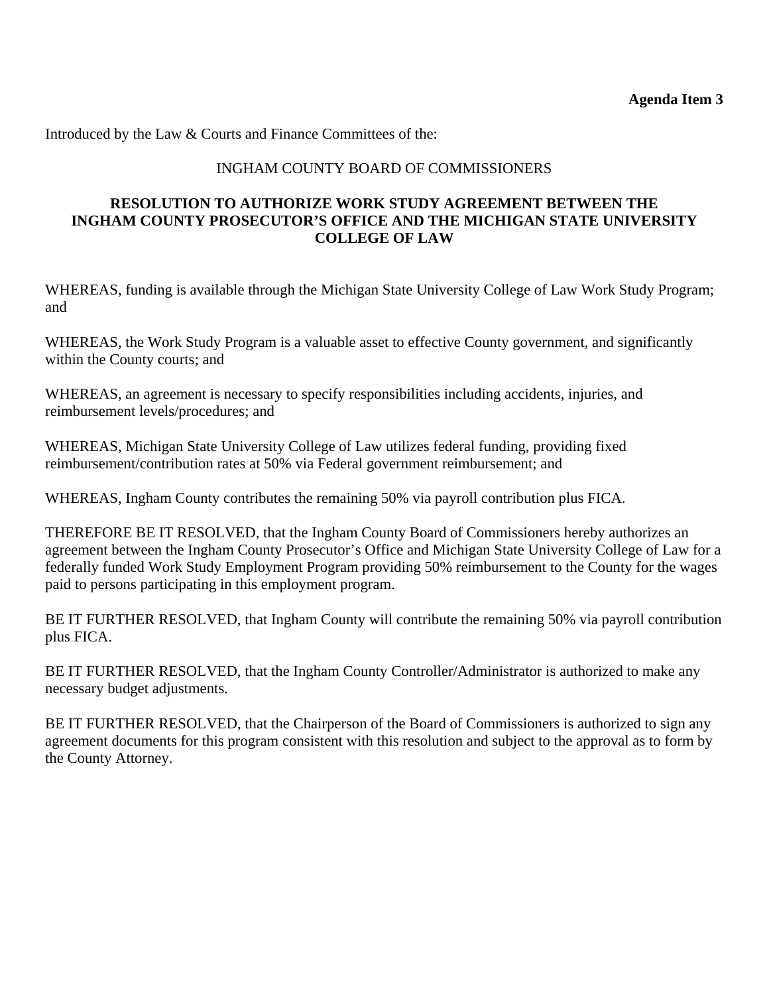Introduced by the Law & Courts and Finance Committees of the:

# INGHAM COUNTY BOARD OF COMMISSIONERS

# **RESOLUTION TO AUTHORIZE WORK STUDY AGREEMENT BETWEEN THE INGHAM COUNTY PROSECUTOR'S OFFICE AND THE MICHIGAN STATE UNIVERSITY COLLEGE OF LAW**

WHEREAS, funding is available through the Michigan State University College of Law Work Study Program; and

WHEREAS, the Work Study Program is a valuable asset to effective County government, and significantly within the County courts; and

WHEREAS, an agreement is necessary to specify responsibilities including accidents, injuries, and reimbursement levels/procedures; and

WHEREAS, Michigan State University College of Law utilizes federal funding, providing fixed reimbursement/contribution rates at 50% via Federal government reimbursement; and

WHEREAS, Ingham County contributes the remaining 50% via payroll contribution plus FICA.

THEREFORE BE IT RESOLVED, that the Ingham County Board of Commissioners hereby authorizes an agreement between the Ingham County Prosecutor's Office and Michigan State University College of Law for a federally funded Work Study Employment Program providing 50% reimbursement to the County for the wages paid to persons participating in this employment program.

BE IT FURTHER RESOLVED, that Ingham County will contribute the remaining 50% via payroll contribution plus FICA.

BE IT FURTHER RESOLVED, that the Ingham County Controller/Administrator is authorized to make any necessary budget adjustments.

BE IT FURTHER RESOLVED, that the Chairperson of the Board of Commissioners is authorized to sign any agreement documents for this program consistent with this resolution and subject to the approval as to form by the County Attorney.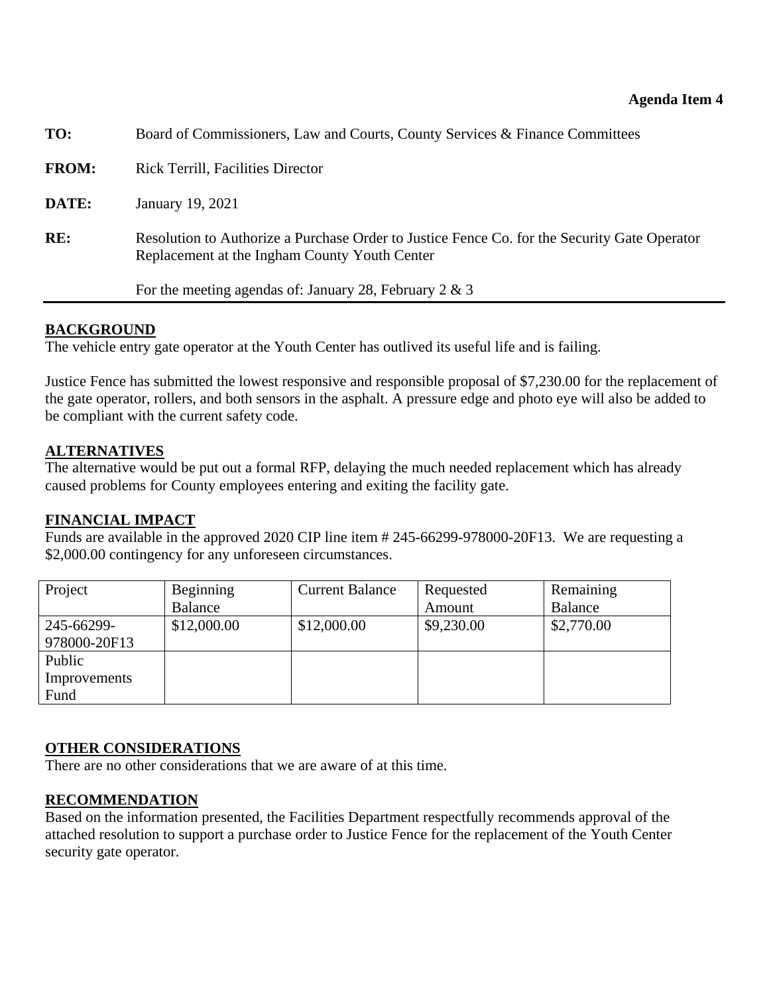<span id="page-12-0"></span>

| TO:          | Board of Commissioners, Law and Courts, County Services & Finance Committees                                                                  |  |  |  |
|--------------|-----------------------------------------------------------------------------------------------------------------------------------------------|--|--|--|
| <b>FROM:</b> | <b>Rick Terrill, Facilities Director</b>                                                                                                      |  |  |  |
| DATE:        | January 19, 2021                                                                                                                              |  |  |  |
| RE:          | Resolution to Authorize a Purchase Order to Justice Fence Co. for the Security Gate Operator<br>Replacement at the Ingham County Youth Center |  |  |  |
|              | For the meeting agendas of: January 28, February 2 & 3                                                                                        |  |  |  |
|              |                                                                                                                                               |  |  |  |

# **BACKGROUND**

The vehicle entry gate operator at the Youth Center has outlived its useful life and is failing.

Justice Fence has submitted the lowest responsive and responsible proposal of \$7,230.00 for the replacement of the gate operator, rollers, and both sensors in the asphalt. A pressure edge and photo eye will also be added to be compliant with the current safety code.

### **ALTERNATIVES**

The alternative would be put out a formal RFP, delaying the much needed replacement which has already caused problems for County employees entering and exiting the facility gate.

# **FINANCIAL IMPACT**

Funds are available in the approved 2020 CIP line item # 245-66299-978000-20F13. We are requesting a \$2,000.00 contingency for any unforeseen circumstances.

| Project      | Beginning   | <b>Current Balance</b> | Requested  | Remaining  |
|--------------|-------------|------------------------|------------|------------|
|              | Balance     |                        | Amount     | Balance    |
| 245-66299-   | \$12,000.00 | \$12,000.00            | \$9,230.00 | \$2,770.00 |
| 978000-20F13 |             |                        |            |            |
| Public       |             |                        |            |            |
| Improvements |             |                        |            |            |
| Fund         |             |                        |            |            |

# **OTHER CONSIDERATIONS**

There are no other considerations that we are aware of at this time.

# **RECOMMENDATION**

Based on the information presented, the Facilities Department respectfully recommends approval of the attached resolution to support a purchase order to Justice Fence for the replacement of the Youth Center security gate operator.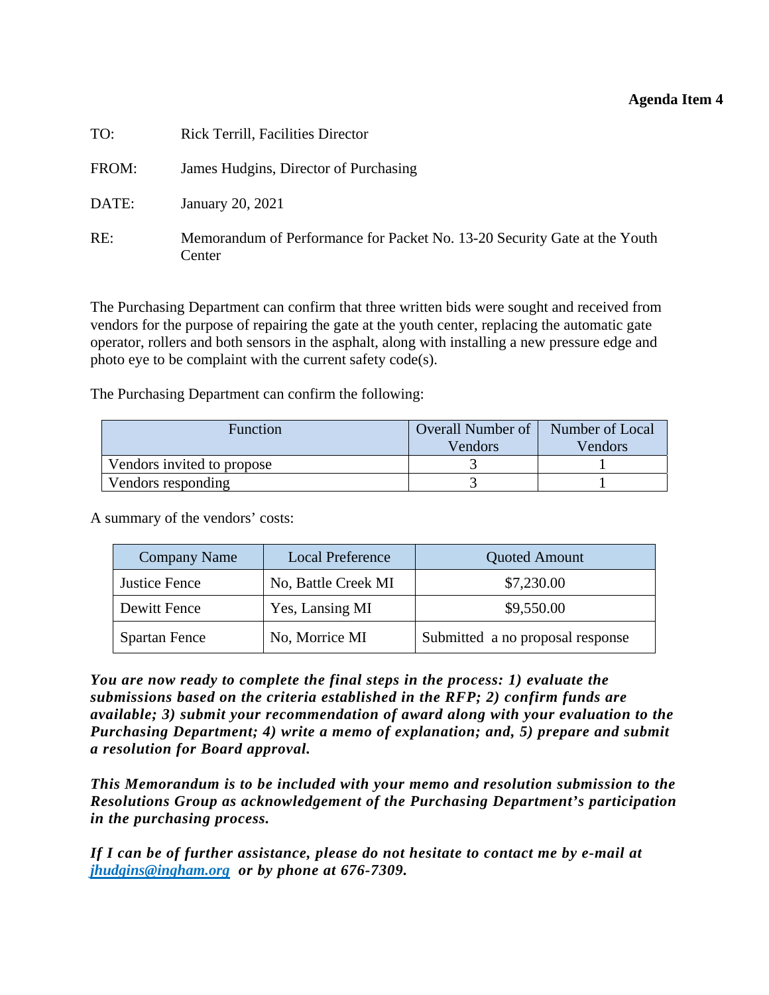### **Agenda Item 4**

| TO:   | <b>Rick Terrill, Facilities Director</b>                                            |
|-------|-------------------------------------------------------------------------------------|
| FROM: | James Hudgins, Director of Purchasing                                               |
| DATE: | January 20, 2021                                                                    |
| RE:   | Memorandum of Performance for Packet No. 13-20 Security Gate at the Youth<br>Center |

The Purchasing Department can confirm that three written bids were sought and received from vendors for the purpose of repairing the gate at the youth center, replacing the automatic gate operator, rollers and both sensors in the asphalt, along with installing a new pressure edge and photo eye to be complaint with the current safety code(s).

The Purchasing Department can confirm the following:

| Function                   | <b>Overall Number of</b> | Number of Local |
|----------------------------|--------------------------|-----------------|
|                            | Vendors                  | Vendors         |
| Vendors invited to propose |                          |                 |
| Vendors responding         |                          |                 |

A summary of the vendors' costs:

| <b>Company Name</b>  | <b>Local Preference</b> | <b>Quoted Amount</b>             |
|----------------------|-------------------------|----------------------------------|
| <b>Justice Fence</b> | No, Battle Creek MI     | \$7,230.00                       |
| Dewitt Fence         | Yes, Lansing MI         | \$9,550.00                       |
| <b>Spartan Fence</b> | No, Morrice MI          | Submitted a no proposal response |

*You are now ready to complete the final steps in the process: 1) evaluate the submissions based on the criteria established in the RFP; 2) confirm funds are available; 3) submit your recommendation of award along with your evaluation to the Purchasing Department; 4) write a memo of explanation; and, 5) prepare and submit a resolution for Board approval.* 

*This Memorandum is to be included with your memo and resolution submission to the Resolutions Group as acknowledgement of the Purchasing Department's participation in the purchasing process.* 

*If I can be of further assistance, please do not hesitate to contact me by e-mail at jhudgins@ingham.org or by phone at 676-7309.*